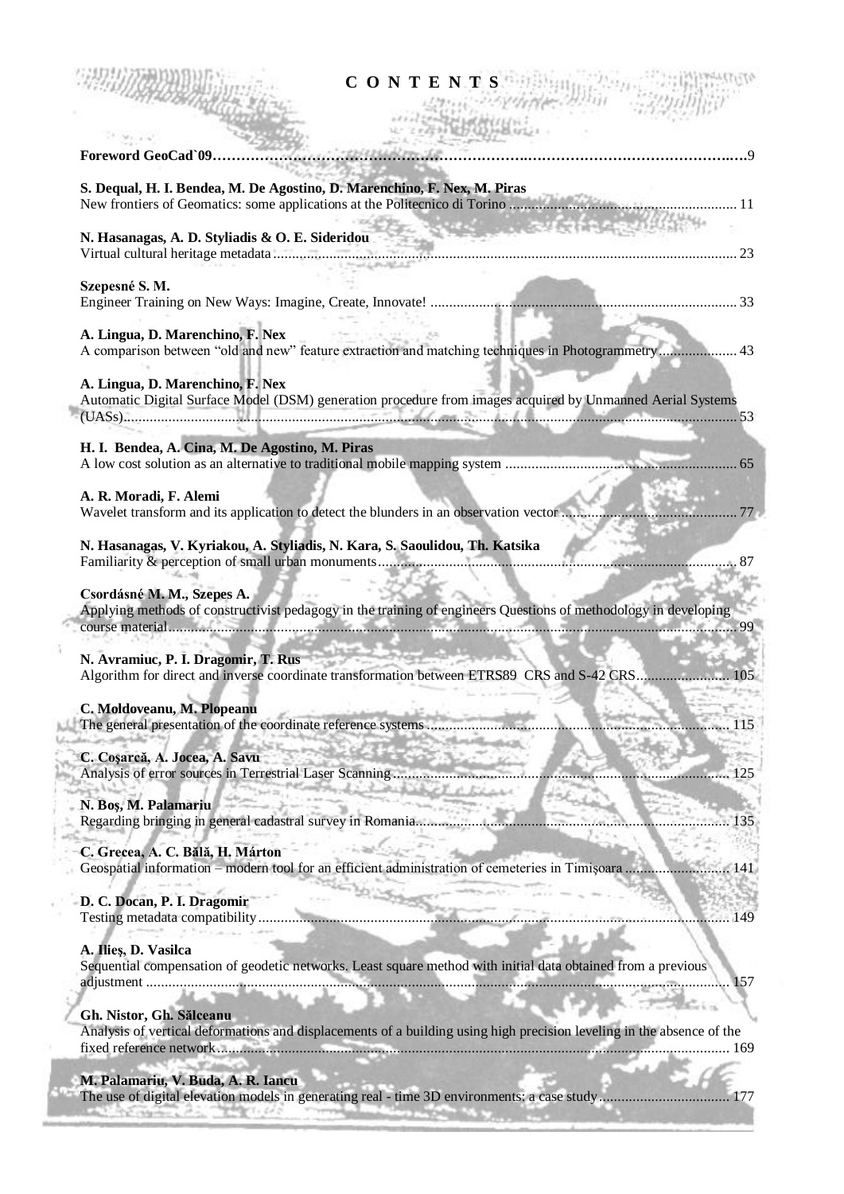| CONTENTS                                                                                                                                                                          |            |
|-----------------------------------------------------------------------------------------------------------------------------------------------------------------------------------|------------|
| Foreword GeoCad`09.                                                                                                                                                               |            |
| S. Dequal, H. I. Bendea, M. De Agostino, D. Marenchino, F. Nex, M. Piras                                                                                                          |            |
| <b>START AND START AND ALL PROPERTY</b><br>N. Hasanagas, A. D. Styliadis & O. E. Sideridou                                                                                        |            |
| Szepesné S. M.                                                                                                                                                                    |            |
| A. Lingua, D. Marenchino, F. Nex<br>A comparison between "old and new" feature extraction and matching techniques in Photogrammetry 43                                            |            |
| A. Lingua, D. Marenchino, F. Nex<br>Automatic Digital Surface Model (DSM) generation procedure from images acquired by Unmanned Aerial Systems                                    |            |
| H. I. Bendea, A. Cina, M. De Agostino, M. Piras                                                                                                                                   |            |
| A. R. Moradi, F. Alemi<br>Wavelet transform and its application to detect the blunders in an observation vector                                                                   | . 77       |
| N. Hasanagas, V. Kyriakou, A. Styliadis, N. Kara, S. Saoulidou, Th. Katsika                                                                                                       |            |
| Csordásné M. M., Szepes A.<br>Applying methods of constructivist pedagogy in the training of engineers Questions of methodology in developing                                     |            |
| N. Avramiuc, P. I. Dragomir, T. Rus<br>Algorithm for direct and inverse coordinate transformation between ETRS89 CRS and S-42 CRS 105                                             |            |
| C. Moldoveanu, M. Plopeanu<br>The general presentation of the coordinate reference systems                                                                                        | 115        |
| C. Coșarcă, A. Jocea, A. Savu<br>Analysis of error sources in Terrestrial Laser Scanning                                                                                          | 125        |
| N. Boş, M. Palamariu<br>Regarding bringing in general cadastral survey in Romania                                                                                                 | 135        |
| C. Grecea, A. C. Bălă, H. Márton<br>Geospatial information – modern tool for an efficient administration of cemeteries in Timișoara                                               | <b>141</b> |
| D. C. Docan, P. I. Dragomir<br>Testing metadata compatibility.                                                                                                                    | 149        |
| A. Ilieș, D. Vasilca<br>Sequential compensation of geodetic networks. Least square method with initial data obtained from a previous                                              | 157        |
| Gh. Nistor, Gh. Sălceanu<br>Analysis of vertical deformations and displacements of a building using high precision leveling in the absence of the<br>fixed reference network<br>. | 169        |
| M. Palamariu, V. Buda, A. R. Iancu                                                                                                                                                |            |

 $\frac{1}{2}$ 

The use of digital elevation models in generating real - time 3D environments: a case study................................... 177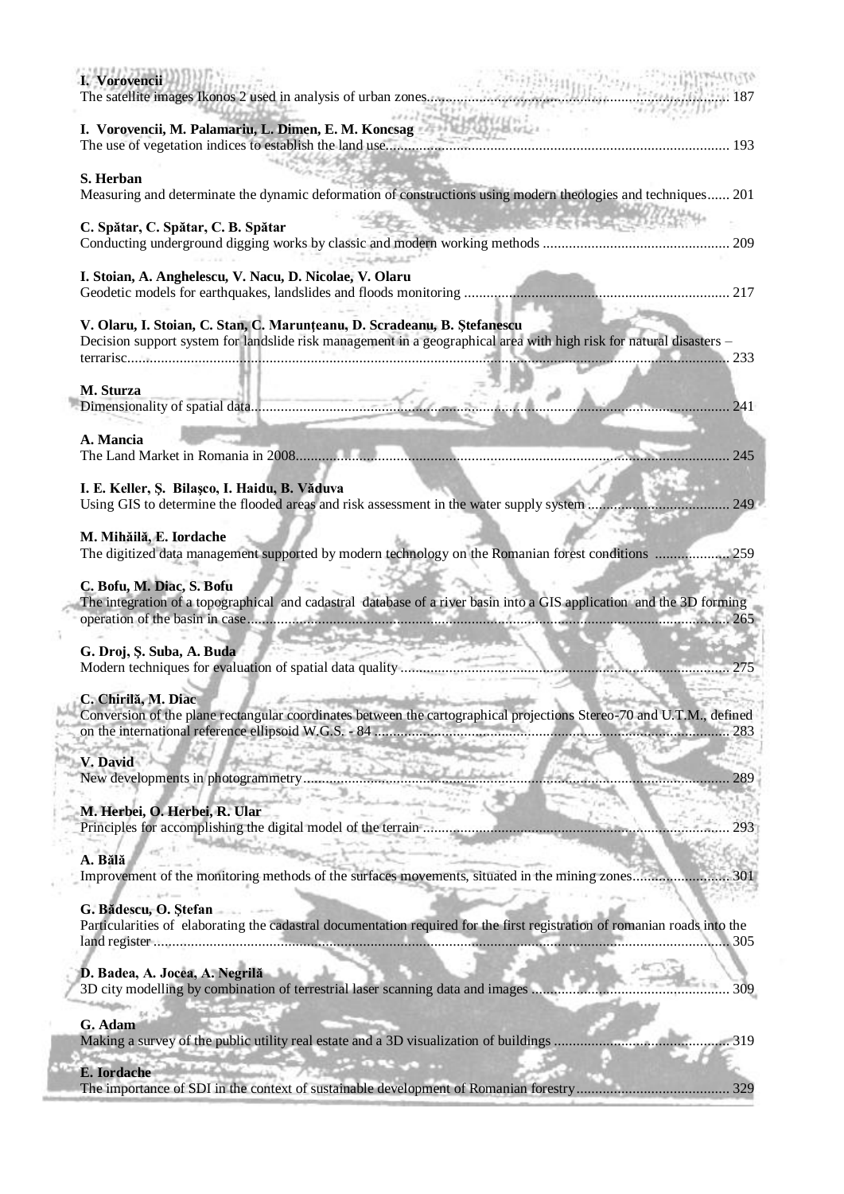| I. Vorovencii                                                                                                                                                                                   | . 187                        |
|-------------------------------------------------------------------------------------------------------------------------------------------------------------------------------------------------|------------------------------|
|                                                                                                                                                                                                 |                              |
| S. Herban<br>Measuring and determinate the dynamic deformation of constructions using modern theologies and techniques 201                                                                      |                              |
| C. Spătar, C. Spătar, C. B. Spătar                                                                                                                                                              | <b>Control State Control</b> |
| I. Stoian, A. Anghelescu, V. Nacu, D. Nicolae, V. Olaru                                                                                                                                         |                              |
| V. Olaru, I. Stoian, C. Stan, C. Marunțeanu, D. Scradeanu, B. Ștefanescu<br>Decision support system for landslide risk management in a geographical area with high risk for natural disasters - |                              |
| M. Sturza                                                                                                                                                                                       |                              |
|                                                                                                                                                                                                 | 241                          |
| A. Mancia                                                                                                                                                                                       | 245                          |
| I. E. Keller, Ș. Bilașco, I. Haidu, B. Văduva                                                                                                                                                   |                              |
| M. Mihăilă, E. Iordache<br>The digitized data management supported by modern technology on the Romanian forest conditions  259                                                                  |                              |
| C. Bofu, M. Diac, S. Bofu<br>The integration of a topographical and cadastral database of a river basin into a GIS application and the 3D forming                                               |                              |
| G. Droj, S. Suba, A. Buda                                                                                                                                                                       |                              |
| C. Chirilă, M. Diac<br>a find a constanting the state of the back of<br>Conversion of the plane rectangular coordinates between the cartographical projections Stereo-70 and U.T.M., defined    |                              |
| V. David<br>New developments in photogrammetry                                                                                                                                                  |                              |
| M. Herbei, O. Herbei, R. Ular                                                                                                                                                                   | 293                          |
| A. Bălă<br>Improvement of the monitoring methods of the surfaces movements, situated in the mining zones                                                                                        | 301                          |
| G. Bădescu, O. Ștefan<br>Particularities of elaborating the cadastral documentation required for the first registration of romanian roads into the                                              | 305                          |
| D. Badea, A. Jocea, A. Negrilă<br>3D city modelling by combination of terrestrial laser scanning data and images                                                                                | 309                          |
| G. Adam                                                                                                                                                                                         | 319                          |
| E. Iordache                                                                                                                                                                                     | 329                          |